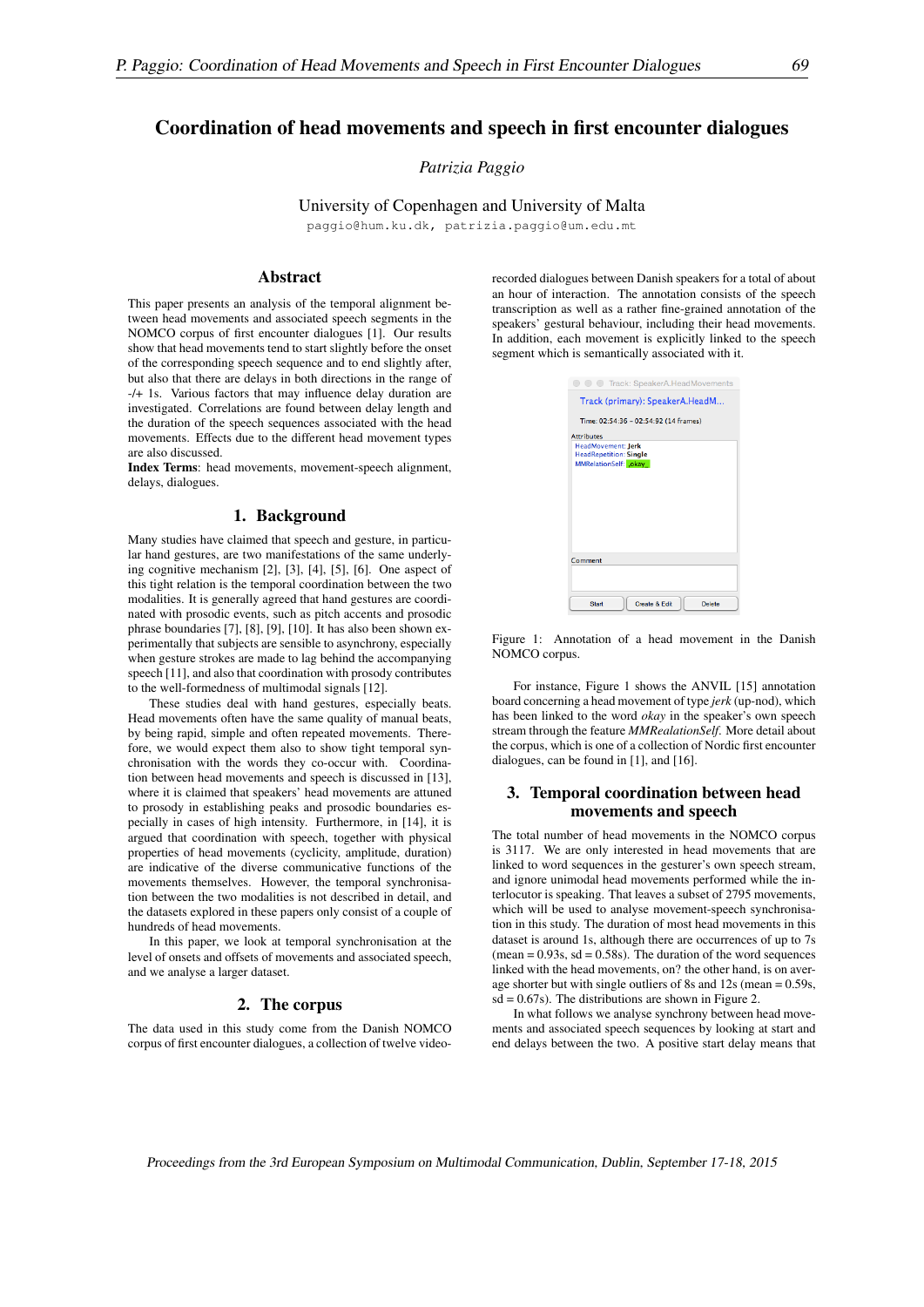# Coordination of head movements and speech in first encounter dialogues

*Patrizia Paggio*

# University of Copenhagen and University of Malta

paggio@hum.ku.dk, patrizia.paggio@um.edu.mt

#### Abstract

This paper presents an analysis of the temporal alignment between head movements and associated speech segments in the NOMCO corpus of first encounter dialogues [1]. Our results show that head movements tend to start slightly before the onset of the corresponding speech sequence and to end slightly after, but also that there are delays in both directions in the range of -/+ 1s. Various factors that may influence delay duration are investigated. Correlations are found between delay length and the duration of the speech sequences associated with the head movements. Effects due to the different head movement types are also discussed.

Index Terms: head movements, movement-speech alignment, delays, dialogues.

### 1. Background

Many studies have claimed that speech and gesture, in particular hand gestures, are two manifestations of the same underlying cognitive mechanism [2], [3], [4], [5], [6]. One aspect of this tight relation is the temporal coordination between the two modalities. It is generally agreed that hand gestures are coordinated with prosodic events, such as pitch accents and prosodic phrase boundaries [7], [8], [9], [10]. It has also been shown experimentally that subjects are sensible to asynchrony, especially when gesture strokes are made to lag behind the accompanying speech [11], and also that coordination with prosody contributes to the well-formedness of multimodal signals [12].

These studies deal with hand gestures, especially beats. Head movements often have the same quality of manual beats, by being rapid, simple and often repeated movements. Therefore, we would expect them also to show tight temporal synchronisation with the words they co-occur with. Coordination between head movements and speech is discussed in [13], where it is claimed that speakers' head movements are attuned to prosody in establishing peaks and prosodic boundaries especially in cases of high intensity. Furthermore, in [14], it is argued that coordination with speech, together with physical properties of head movements (cyclicity, amplitude, duration) are indicative of the diverse communicative functions of the movements themselves. However, the temporal synchronisation between the two modalities is not described in detail, and the datasets explored in these papers only consist of a couple of hundreds of head movements.

In this paper, we look at temporal synchronisation at the level of onsets and offsets of movements and associated speech, and we analyse a larger dataset.

### 2. The corpus

The data used in this study come from the Danish NOMCO corpus of first encounter dialogues, a collection of twelve videorecorded dialogues between Danish speakers for a total of about an hour of interaction. The annotation consists of the speech transcription as well as a rather fine-grained annotation of the speakers' gestural behaviour, including their head movements. In addition, each movement is explicitly linked to the speech segment which is semantically associated with it.

| <b>C</b> Track: SpeakerA.HeadMovements                                               |
|--------------------------------------------------------------------------------------|
| Track (primary): SpeakerA.HeadM                                                      |
| Time: 02:54:36 - 02:54:92 (14 frames)                                                |
| <b>Attributes</b>                                                                    |
| <b>HeadMovement: Jerk</b><br><b>HeadRepetition: Single</b><br>MMRelationSelf: . okay |
| Comment                                                                              |
| Create & Edit<br><b>Start</b><br>Delete                                              |

Figure 1: Annotation of a head movement in the Danish NOMCO corpus.

For instance, Figure 1 shows the ANVIL [15] annotation board concerning a head movement of type *jerk* (up-nod), which has been linked to the word *okay* in the speaker's own speech stream through the feature *MMRealationSelf*. More detail about the corpus, which is one of a collection of Nordic first encounter dialogues, can be found in [1], and [16].

## 3. Temporal coordination between head movements and speech

The total number of head movements in the NOMCO corpus is 3117. We are only interested in head movements that are linked to word sequences in the gesturer's own speech stream, and ignore unimodal head movements performed while the interlocutor is speaking. That leaves a subset of 2795 movements, which will be used to analyse movement-speech synchronisation in this study. The duration of most head movements in this dataset is around 1s, although there are occurrences of up to 7s  $(\text{mean} = 0.93s, \text{ sd} = 0.58s)$ . The duration of the word sequences linked with the head movements, on? the other hand, is on average shorter but with single outliers of 8s and 12s (mean = 0.59s,  $sd = 0.67s$ . The distributions are shown in Figure 2.

In what follows we analyse synchrony between head movements and associated speech sequences by looking at start and end delays between the two. A positive start delay means that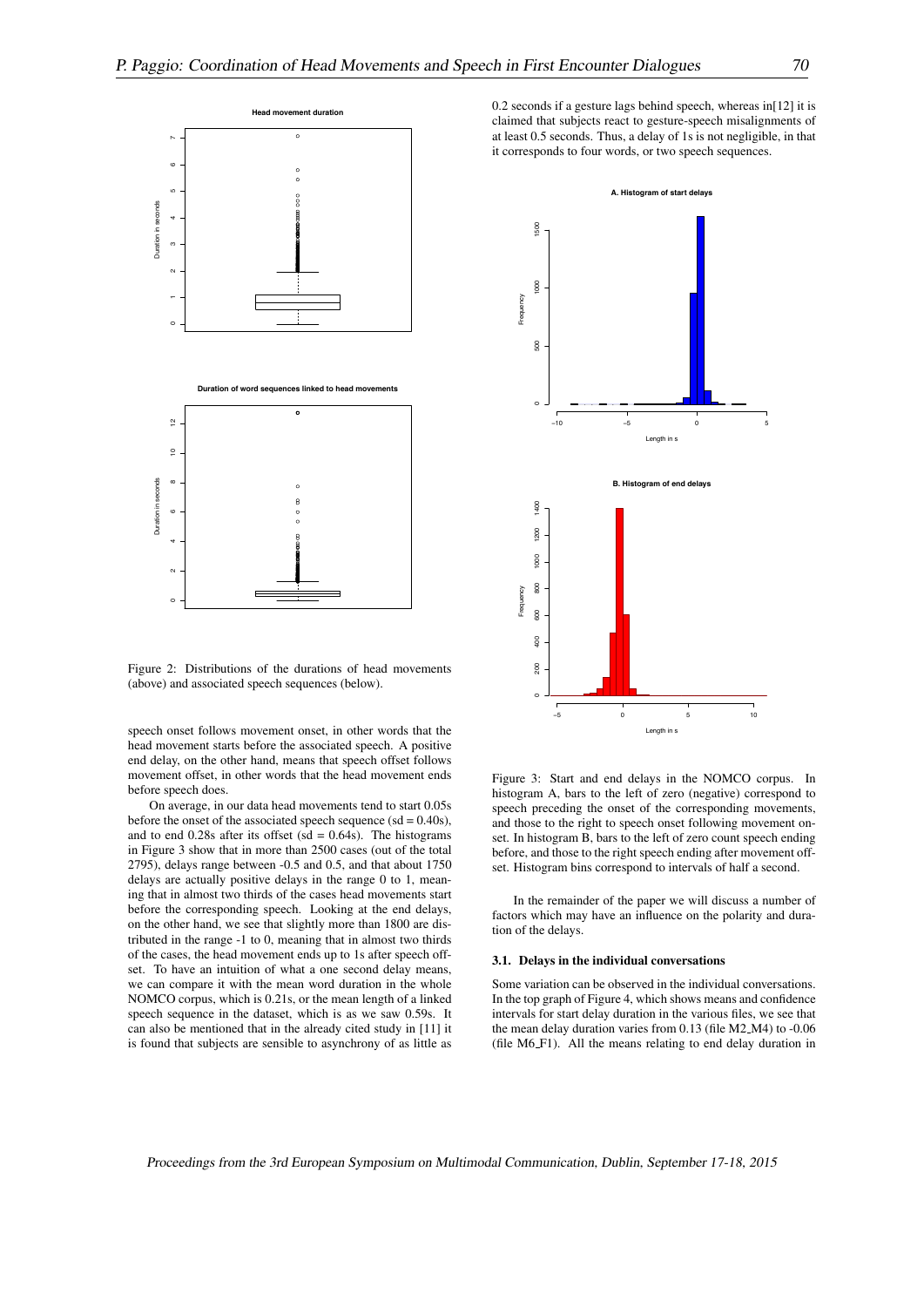

Figure 2: Distributions of the durations of head movements (above) and associated speech sequences (below).

speech onset follows movement onset, in other words that the head movement starts before the associated speech. A positive end delay, on the other hand, means that speech offset follows movement offset, in other words that the head movement ends before speech does.

On average, in our data head movements tend to start 0.05s before the onset of the associated speech sequence  $(sd = 0.40s)$ , and to end  $0.28s$  after its offset (sd =  $0.64s$ ). The histograms in Figure 3 show that in more than 2500 cases (out of the total 2795), delays range between -0.5 and 0.5, and that about 1750 delays are actually positive delays in the range 0 to 1, meaning that in almost two thirds of the cases head movements start before the corresponding speech. Looking at the end delays, on the other hand, we see that slightly more than 1800 are distributed in the range -1 to 0, meaning that in almost two thirds of the cases, the head movement ends up to 1s after speech offset. To have an intuition of what a one second delay means, we can compare it with the mean word duration in the whole NOMCO corpus, which is 0.21s, or the mean length of a linked speech sequence in the dataset, which is as we saw 0.59s. It can also be mentioned that in the already cited study in [11] it is found that subjects are sensible to asynchrony of as little as

0.2 seconds if a gesture lags behind speech, whereas in[12] it is claimed that subjects react to gesture-speech misalignments of at least 0.5 seconds. Thus, a delay of 1s is not negligible, in that it corresponds to four words, or two speech sequences.



Figure 3: Start and end delays in the NOMCO corpus. In histogram A, bars to the left of zero (negative) correspond to speech preceding the onset of the corresponding movements, and those to the right to speech onset following movement onset. In histogram B, bars to the left of zero count speech ending before, and those to the right speech ending after movement offset. Histogram bins correspond to intervals of half a second.

In the remainder of the paper we will discuss a number of factors which may have an influence on the polarity and duration of the delays.

#### 3.1. Delays in the individual conversations

Some variation can be observed in the individual conversations. In the top graph of Figure 4, which shows means and confidence intervals for start delay duration in the various files, we see that the mean delay duration varies from 0.13 (file M2 M4) to -0.06 (file M6 F1). All the means relating to end delay duration in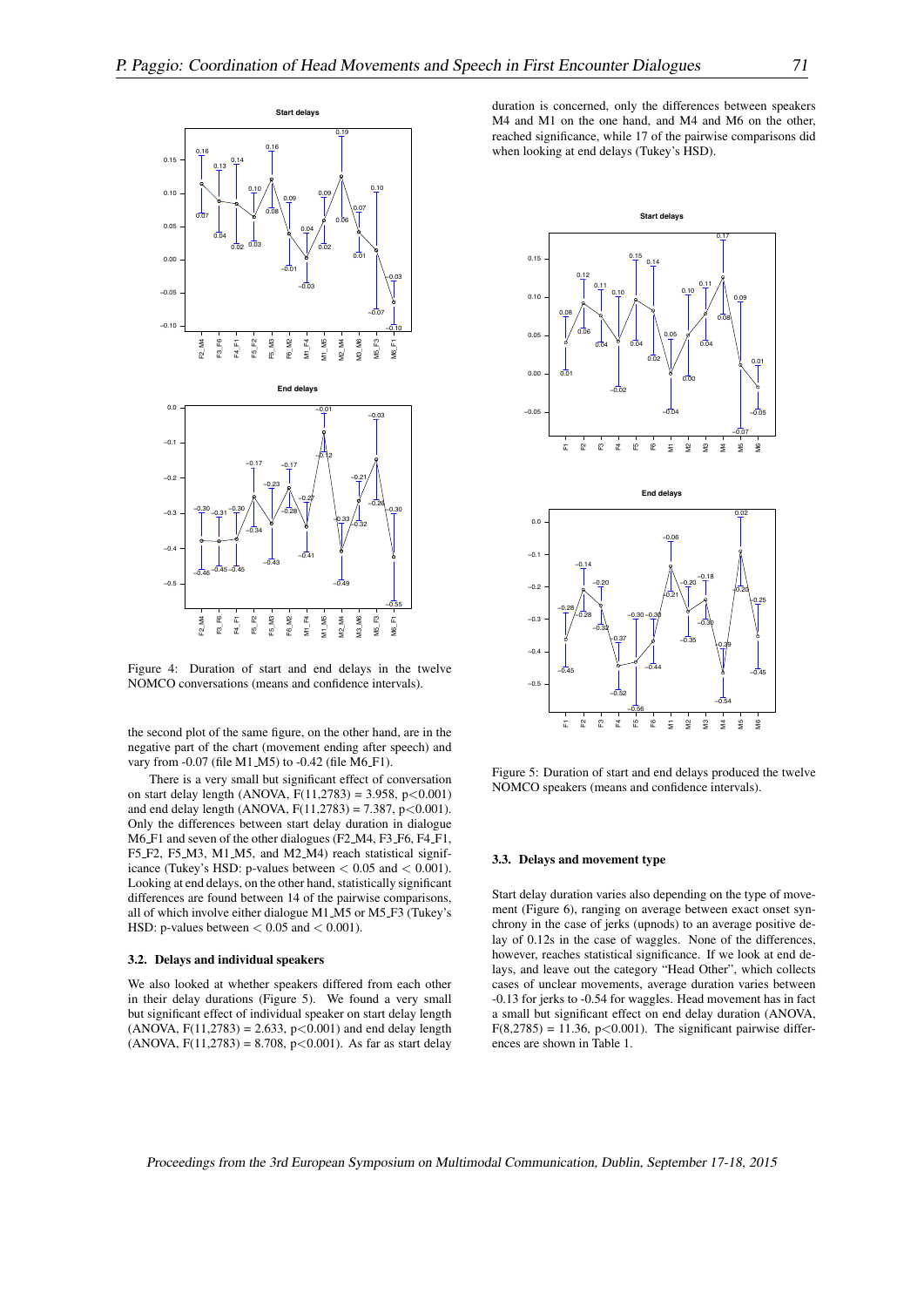

Figure 4: Duration of start and end delays in the twelve NOMCO conversations (means and confidence intervals).

the second plot of the same figure, on the other hand, are in the negative part of the chart (movement ending after speech) and vary from -0.07 (file M1\_M5) to -0.42 (file M6\_F1).

There is a very small but significant effect of conversation on start delay length (ANOVA, F(11,2783) = 3.958, p*<*0.001) and end delay length (ANOVA, F(11,2783) = 7.387, p*<*0.001). Only the differences between start delay duration in dialogue M6 F1 and seven of the other dialogues (F2 M4, F3 F6, F4 F1, F5 F2, F5 M3, M1 M5, and M2 M4) reach statistical significance (Tukey's HSD: p-values between *<* 0.05 and *<* 0.001). Looking at end delays, on the other hand, statistically significant differences are found between 14 of the pairwise comparisons, all of which involve either dialogue M1 M5 or M5 F3 (Tukey's HSD: p-values between *<* 0.05 and *<* 0.001).

#### 3.2. Delays and individual speakers

We also looked at whether speakers differed from each other in their delay durations (Figure 5). We found a very small but significant effect of individual speaker on start delay length (ANOVA, F(11,2783) = 2.633, p*<*0.001) and end delay length (ANOVA, F(11,2783) = 8.708, p*<*0.001). As far as start delay

duration is concerned, only the differences between speakers M4 and M1 on the one hand, and M4 and M6 on the other, reached significance, while 17 of the pairwise comparisons did when looking at end delays (Tukey's HSD).



Figure 5: Duration of start and end delays produced the twelve NOMCO speakers (means and confidence intervals).

#### 3.3. Delays and movement type

Start delay duration varies also depending on the type of movement (Figure 6), ranging on average between exact onset synchrony in the case of jerks (upnods) to an average positive delay of 0.12s in the case of waggles. None of the differences, however, reaches statistical significance. If we look at end delays, and leave out the category "Head Other", which collects cases of unclear movements, average duration varies between -0.13 for jerks to -0.54 for waggles. Head movement has in fact a small but significant effect on end delay duration (ANOVA,  $F(8,2785) = 11.36, p < 0.001$ . The significant pairwise differences are shown in Table 1.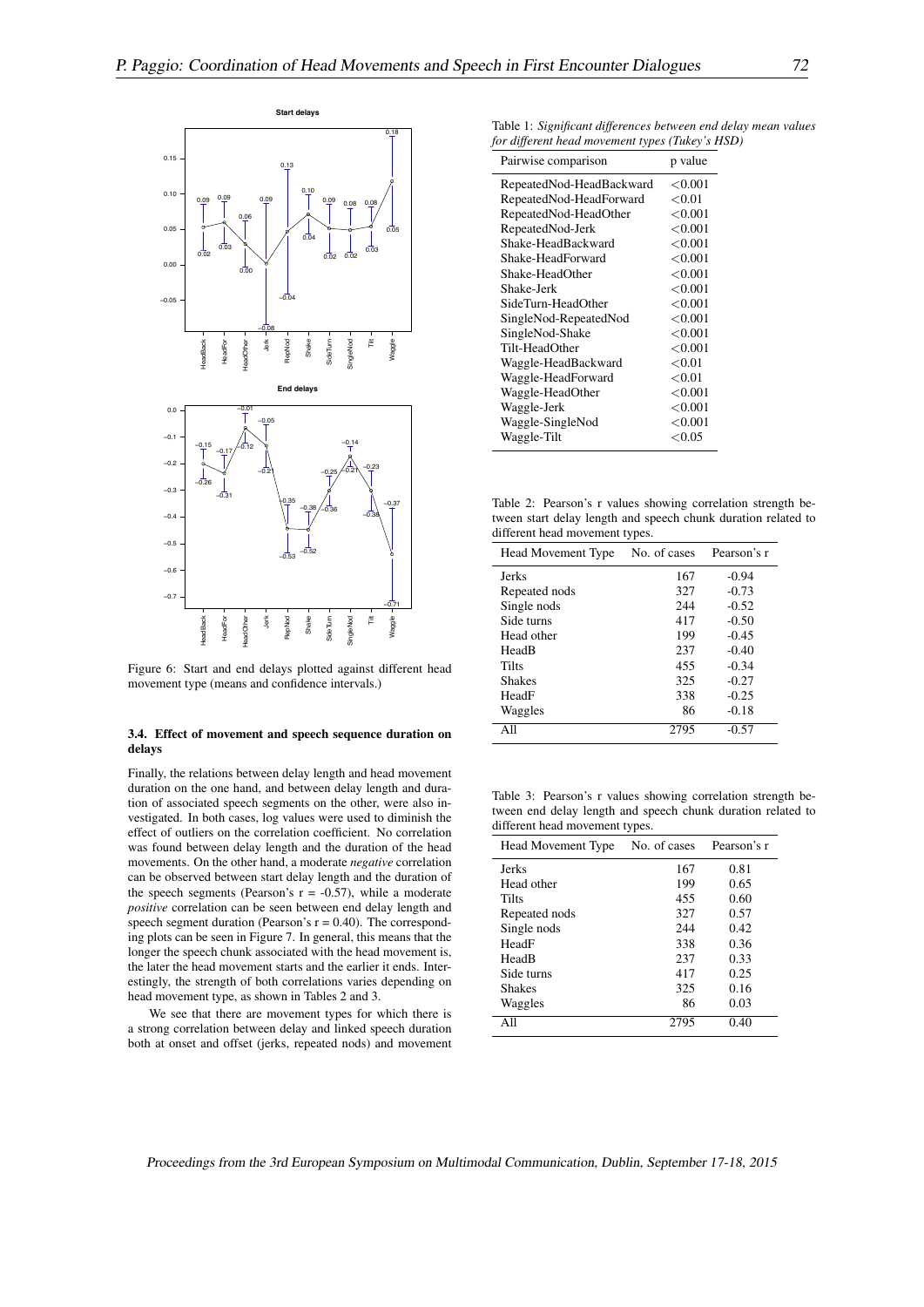

Figure 6: Start and end delays plotted against different head movement type (means and confidence intervals.)

#### 3.4. Effect of movement and speech sequence duration on delays

Finally, the relations between delay length and head movement duration on the one hand, and between delay length and duration of associated speech segments on the other, were also investigated. In both cases, log values were used to diminish the effect of outliers on the correlation coefficient. No correlation was found between delay length and the duration of the head movements. On the other hand, a moderate *negative* correlation can be observed between start delay length and the duration of the speech segments (Pearson's  $r = -0.57$ ), while a moderate *positive* correlation can be seen between end delay length and speech segment duration (Pearson's  $r = 0.40$ ). The corresponding plots can be seen in Figure 7. In general, this means that the longer the speech chunk associated with the head movement is, the later the head movement starts and the earlier it ends. Interestingly, the strength of both correlations varies depending on head movement type, as shown in Tables 2 and 3.

We see that there are movement types for which there is a strong correlation between delay and linked speech duration both at onset and offset (jerks, repeated nods) and movement

Table 1: *Significant differences between end delay mean values for different head movement types (Tukey's HSD)*

| Pairwise comparison      | p value    |
|--------------------------|------------|
| RepeatedNod-HeadBackward | < 0.001    |
| RepeatedNod-HeadForward  | < 0.01     |
| RepeatedNod-HeadOther    | ${<}0.001$ |
| RepeatedNod-Jerk         | < 0.001    |
| Shake-HeadBackward       | < 0.001    |
| Shake-HeadForward        | ${<}0.001$ |
| Shake-HeadOther          | < 0.001    |
| Shake-Jerk               | ${<}0.001$ |
| SideTurn-HeadOther       | < 0.001    |
| SingleNod-RepeatedNod    | < 0.001    |
| SingleNod-Shake          | < 0.001    |
| Tilt-HeadOther           | ${<}0.001$ |
| Waggle-HeadBackward      | ${<}0.01$  |
| Waggle-HeadForward       | ${<}0.01$  |
| Waggle-HeadOther         | ${<}0.001$ |
| Waggle-Jerk              | < 0.001    |
| Waggle-SingleNod         | ${<}0.001$ |
| Waggle-Tilt              | ${<}0.05$  |

Table 2: Pearson's r values showing correlation strength between start delay length and speech chunk duration related to different head movement types.

| Head Movement Type | . .<br>No. of cases | Pearson's r |
|--------------------|---------------------|-------------|
| <b>Jerks</b>       | 167                 | $-0.94$     |
| Repeated nods      | 327                 | $-0.73$     |
| Single nods        | 244                 | $-0.52$     |
| Side turns         | 417                 | $-0.50$     |
| Head other         | 199                 | $-0.45$     |
| HeadB              | 237                 | $-0.40$     |
| Tilts              | 455                 | $-0.34$     |
| <b>Shakes</b>      | 325                 | $-0.27$     |
| HeadF              | 338                 | $-0.25$     |
| Waggles            | 86                  | $-0.18$     |
| A 11               |                     | $-0.57$     |

Table 3: Pearson's r values showing correlation strength between end delay length and speech chunk duration related to different head movement types.

| Head Movement Type | No. of cases | Pearson's r |
|--------------------|--------------|-------------|
| <b>Jerks</b>       | 167          | 0.81        |
| Head other         | 199          | 0.65        |
| Tilts              | 455          | 0.60        |
| Repeated nods      | 327          | 0.57        |
| Single nods        | 244          | 0.42        |
| HeadF              | 338          | 0.36        |
| HeadB              | 237          | 0.33        |
| Side turns         | 417          | 0.25        |
| <b>Shakes</b>      | 325          | 0.16        |
| Waggles            | 86           | 0.03        |
| All                | 2795         | 0.40        |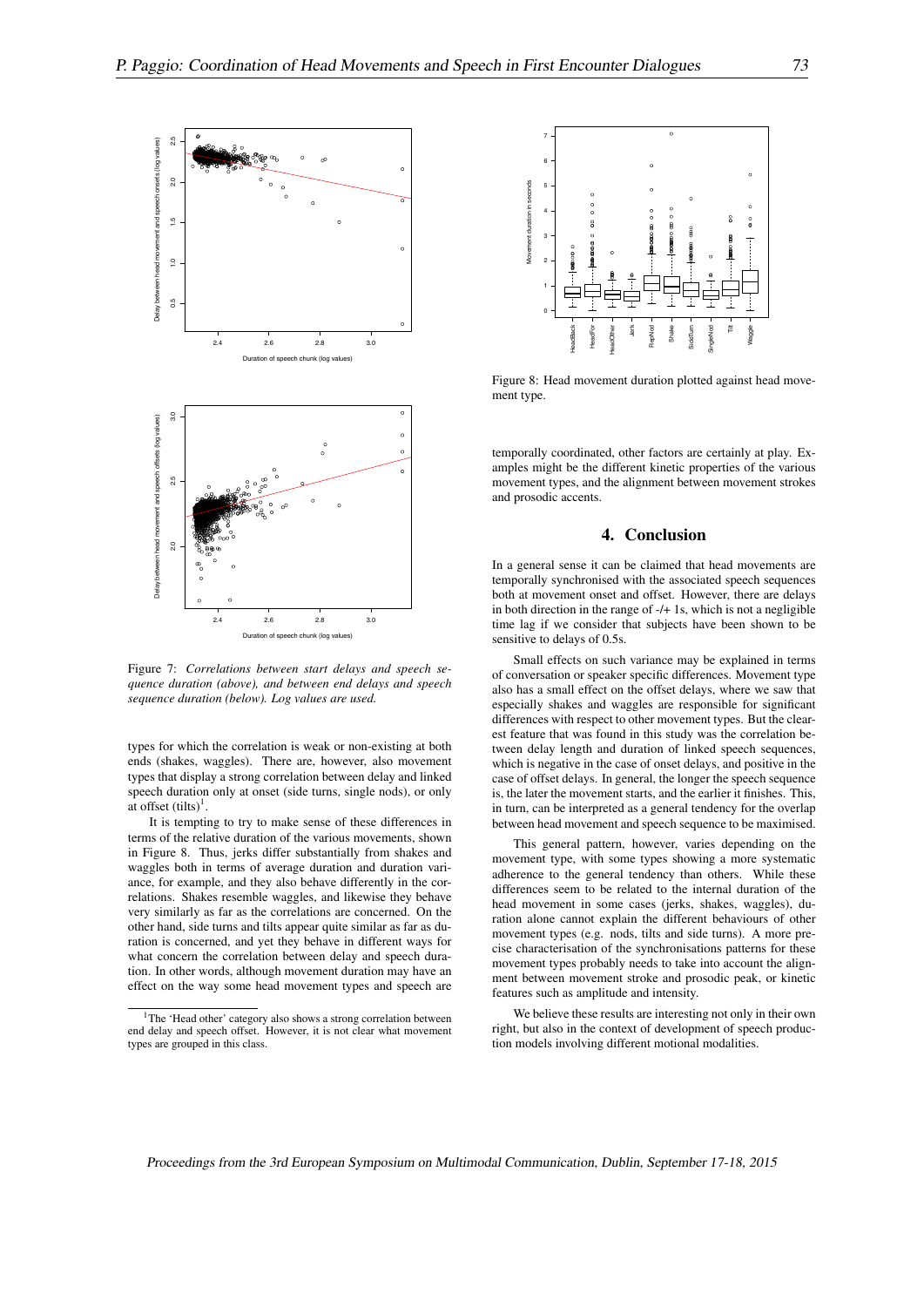

Figure 7: *Correlations between start delays and speech sequence duration (above), and between end delays and speech sequence duration (below). Log values are used.*

types for which the correlation is weak or non-existing at both ends (shakes, waggles). There are, however, also movement types that display a strong correlation between delay and linked speech duration only at onset (side turns, single nods), or only at offset  $(tilts)^1$ .

It is tempting to try to make sense of these differences in terms of the relative duration of the various movements, shown in Figure 8. Thus, jerks differ substantially from shakes and waggles both in terms of average duration and duration variance, for example, and they also behave differently in the correlations. Shakes resemble waggles, and likewise they behave very similarly as far as the correlations are concerned. On the other hand, side turns and tilts appear quite similar as far as duration is concerned, and yet they behave in different ways for what concern the correlation between delay and speech duration. In other words, although movement duration may have an effect on the way some head movement types and speech are



Figure 8: Head movement duration plotted against head movement type.

temporally coordinated, other factors are certainly at play. Examples might be the different kinetic properties of the various movement types, and the alignment between movement strokes and prosodic accents.

## 4. Conclusion

In a general sense it can be claimed that head movements are temporally synchronised with the associated speech sequences both at movement onset and offset. However, there are delays in both direction in the range of -/+ 1s, which is not a negligible time lag if we consider that subjects have been shown to be sensitive to delays of 0.5s.

Small effects on such variance may be explained in terms of conversation or speaker specific differences. Movement type also has a small effect on the offset delays, where we saw that especially shakes and waggles are responsible for significant differences with respect to other movement types. But the clearest feature that was found in this study was the correlation between delay length and duration of linked speech sequences, which is negative in the case of onset delays, and positive in the case of offset delays. In general, the longer the speech sequence is, the later the movement starts, and the earlier it finishes. This, in turn, can be interpreted as a general tendency for the overlap between head movement and speech sequence to be maximised.

This general pattern, however, varies depending on the movement type, with some types showing a more systematic adherence to the general tendency than others. While these differences seem to be related to the internal duration of the head movement in some cases (jerks, shakes, waggles), duration alone cannot explain the different behaviours of other movement types (e.g. nods, tilts and side turns). A more precise characterisation of the synchronisations patterns for these movement types probably needs to take into account the alignment between movement stroke and prosodic peak, or kinetic features such as amplitude and intensity.

We believe these results are interesting not only in their own right, but also in the context of development of speech production models involving different motional modalities.

<sup>&</sup>lt;sup>1</sup>The 'Head other' category also shows a strong correlation between end delay and speech offset. However, it is not clear what movement types are grouped in this class.